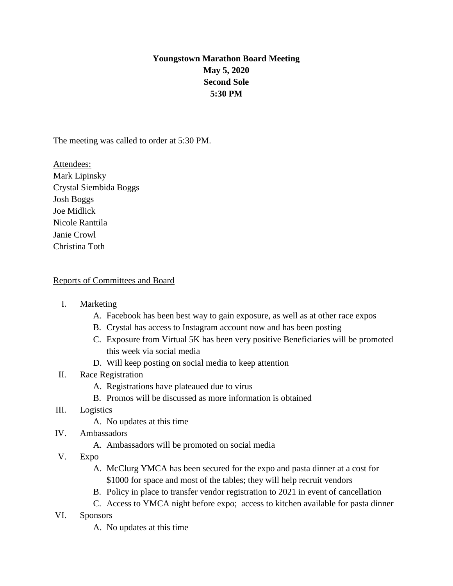## **Youngstown Marathon Board Meeting May 5, 2020 Second Sole 5:30 PM**

The meeting was called to order at 5:30 PM.

Attendees: Mark Lipinsky Crystal Siembida Boggs Josh Boggs Joe Midlick Nicole Ranttila Janie Crowl Christina Toth

## Reports of Committees and Board

- I. Marketing
	- A. Facebook has been best way to gain exposure, as well as at other race expos
	- B. Crystal has access to Instagram account now and has been posting
	- C. Exposure from Virtual 5K has been very positive Beneficiaries will be promoted this week via social media
	- D. Will keep posting on social media to keep attention
- II. Race Registration
	- A. Registrations have plateaued due to virus
	- B. Promos will be discussed as more information is obtained
- III. Logistics
	- A. No updates at this time
- IV. Ambassadors
	- A. Ambassadors will be promoted on social media
- V. Expo
	- A. McClurg YMCA has been secured for the expo and pasta dinner at a cost for \$1000 for space and most of the tables; they will help recruit vendors
	- B. Policy in place to transfer vendor registration to 2021 in event of cancellation
	- C. Access to YMCA night before expo; access to kitchen available for pasta dinner
- VI. Sponsors
	- A. No updates at this time